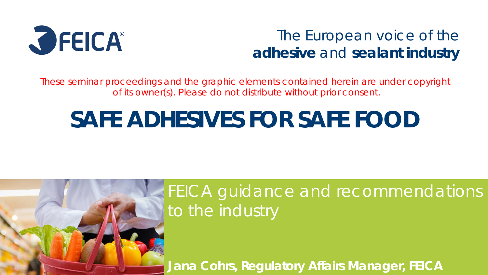

### The European voice of the **adhesive** and **sealant industry**

These seminar proceedings and the graphic elements contained herein are under copyright of its owner(s). Please do not distribute without prior consent.

# **SAFE ADHESIVES FOR SAFE FOOD**



## FEICA guidance and recommendations to the industry

**Jana Cohrs, Regulatory Affairs Manager, FEICA**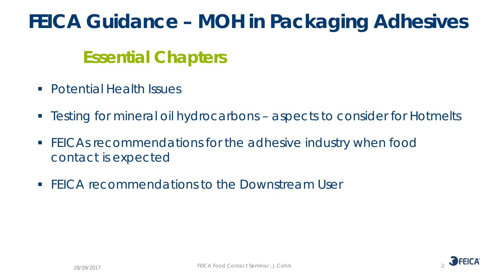# **FEICA Guidance – MOH in Packaging Adhesives**

### **Essential Chapters**

- **Potential Health Issues**
- Testing for mineral oil hydrocarbons aspects to consider for Hotmelts
- **FICAs recommendations for the adhesive industry when food** contact is expected
- **FEICA recommendations to the Downstream User**

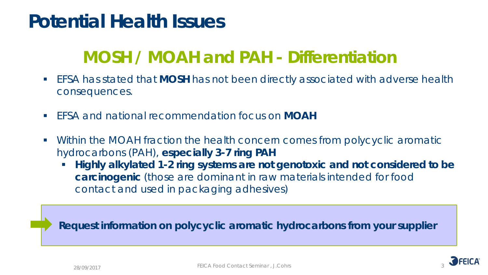# **Potential Health Issues**

## **MOSH / MOAH and PAH - Differentiation**

- EFSA has stated that **MOSH** has not been directly associated with adverse health consequences.
- EFSA and national recommendation focus on **MOAH**
- Within the MOAH fraction the health concern comes from polycyclic aromatic hydrocarbons (PAH), **especially 3-7 ring PAH**
	- **Highly alkylated 1-2 ring systems are not genotoxic and not considered to be carcinogenic** (those are dominant in raw materials intended for food contact and used in packaging adhesives)

**Request information on polycyclic aromatic hydrocarbons from your supplier**

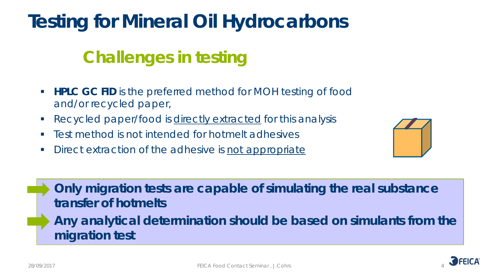# **Testing for Mineral Oil Hydrocarbons**

# **Challenges in testing**

- **HPLC GC FID** is the preferred method for MOH testing of food and/or recycled paper,
- Recycled paper/food is directly extracted for this analysis
- **Figure 1** Test method is not intended for hotmelt adhesives
- Direct extraction of the adhesive is not appropriate



• **Only migration tests are capable of simulating the real substance transfer of hotmelts** • **Any analytical determination should be based on simulants from the migration test** 

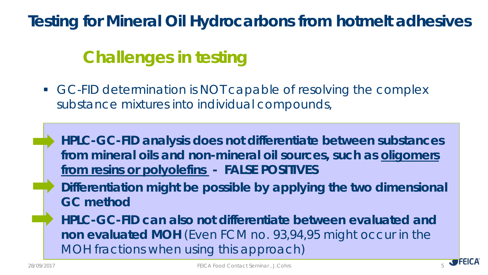### **Testing for Mineral Oil Hydrocarbons from hotmelt adhesives**

# **Challenges in testing**

GC-FID determination is NOT capable of resolving the complex substance mixtures into individual compounds,

• **HPLC-GC-FID analysis does not differentiate between substances from mineral oils and non-mineral oil sources, such as oligomers from resins or polyolefins - FALSE POSITIVES** 

• **Differentiation might be possible by applying the two dimensional GC method** 

• **HPLC-GC-FID can also not differentiate between evaluated and non evaluated MOH** (Even FCM no. 93,94,95 might occur in the MOH fractions when using this approach)

5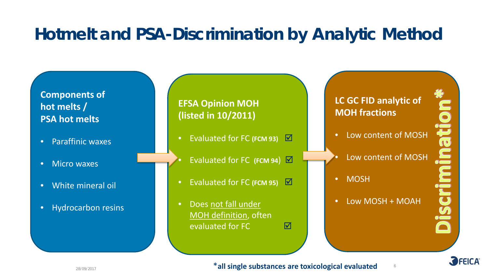### **Hotmelt and PSA-Discrimination by Analytic Method**

#### **Components of hot melts / PSA hot melts**

- Paraffinic waxes
- Micro waxes
- White mineral oil
- Hydrocarbon resins

#### **EFSA Opinion MOH (listed in 10/2011)**

- Evaluated for FC (FCM 93) **Ø**
- **Evaluated for FC (FCM 94) ⊠**
- Evaluated for FC **(FCM 95)**
- Does not fall under MOH definition, often evaluated for FC <del>M</del>

#### **LC GC FID analytic of MOH fractions**

- Low content of MOSH
- Low content of MOSH
- MOSH
- Low MOSH + MOAH

6



OLE PULL



\***all single substances are toxicological evaluated**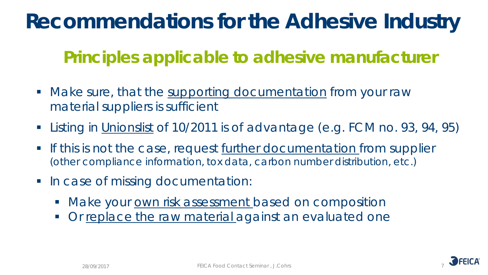# **Recommendations for the Adhesive Industry**

## **Principles applicable to adhesive manufacturer**

- Make sure, that the supporting documentation from your raw material suppliers is sufficient
- Listing in Unionslist of 10/2011 is of advantage (e.g. FCM no. 93, 94, 95)
- If this is not the case, request further documentation from supplier (other compliance information, tox data, carbon number distribution, etc.)
- In case of missing documentation:
	- Make your own risk assessment based on composition
	- Or replace the raw material against an evaluated one

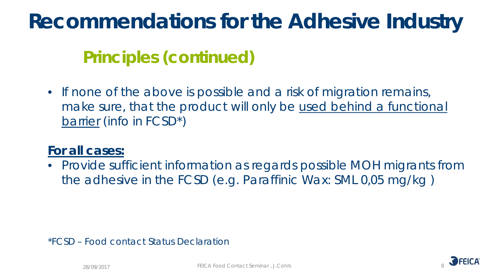# **Recommendations for the Adhesive Industry**

## **Principles (continued)**

• If none of the above is possible and a risk of migration remains, make sure, that the product will only be used behind a functional barrier (info in FCSD\*)

#### **For all cases:**

• Provide sufficient information as regards possible MOH migrants from the adhesive in the FCSD (e.g. Paraffinic Wax: SML 0,05 mg/kg )

\*FCSD – Food contact Status Declaration

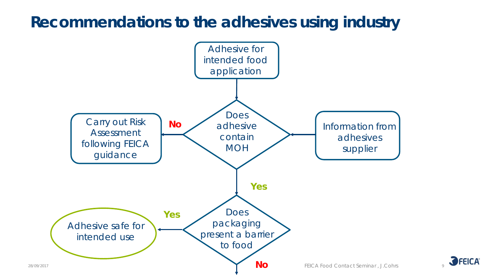### **Recommendations to the adhesives using industry**



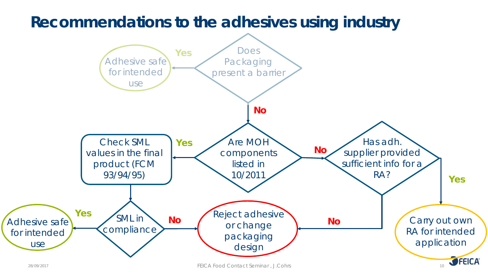

<sup>28/09/2017</sup> FEICA Food Contact Seminar , J.Cohrs 10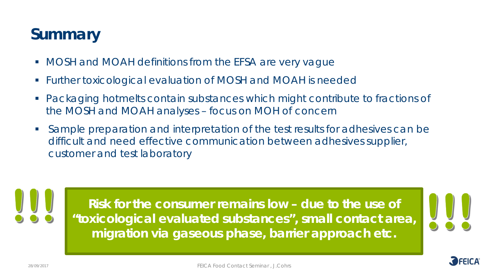### **Summary**

- **MOSH and MOAH definitions from the EFSA are very vague**
- Further toxicological evaluation of MOSH and MOAH is needed
- Packaging hotmelts contain substances which might contribute to fractions of the MOSH and MOAH analyses – focus on MOH of concern
- Sample preparation and interpretation of the test results for adhesives can be difficult and need effective communication between adhesives supplier, customer and test laboratory

11 **Risk for the consumer remains low – due to the use of "toxicological evaluated substances", small contact area, migration via gaseous phase, barrier approach etc.**

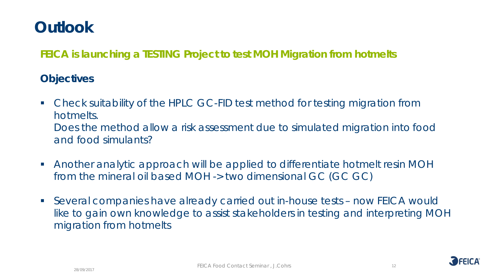### **Outlook**

**FEICA is launching a TESTING Project to test MOH Migration from hotmelts** 

#### **Objectives**

 Check suitability of the HPLC GC-FID test method for testing migration from hotmelts.

Does the method allow a risk assessment due to simulated migration into food and food simulants?

- Another analytic approach will be applied to differentiate hotmelt resin MOH from the mineral oil based MOH -> two dimensional GC (GC GC)
- Several companies have already carried out in-house tests now FEICA would like to gain own knowledge to assist stakeholders in testing and interpreting MOH migration from hotmelts